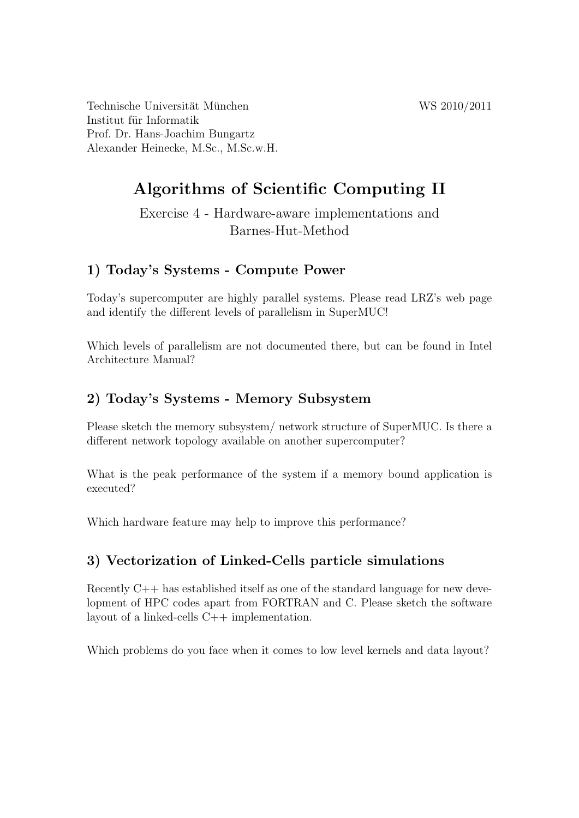Technische Universität München WS 2010/2011 Institut für Informatik Prof. Dr. Hans-Joachim Bungartz Alexander Heinecke, M.Sc., M.Sc.w.H.

# Algorithms of Scientific Computing II

Exercise 4 - Hardware-aware implementations and Barnes-Hut-Method

## 1) Today's Systems - Compute Power

Today's supercomputer are highly parallel systems. Please read LRZ's web page and identify the different levels of parallelism in SuperMUC!

Which levels of parallelism are not documented there, but can be found in Intel Architecture Manual?

## 2) Today's Systems - Memory Subsystem

Please sketch the memory subsystem/ network structure of SuperMUC. Is there a different network topology available on another supercomputer?

What is the peak performance of the system if a memory bound application is executed?

Which hardware feature may help to improve this performance?

#### 3) Vectorization of Linked-Cells particle simulations

Recently C++ has established itself as one of the standard language for new development of HPC codes apart from FORTRAN and C. Please sketch the software layout of a linked-cells C++ implementation.

Which problems do you face when it comes to low level kernels and data layout?